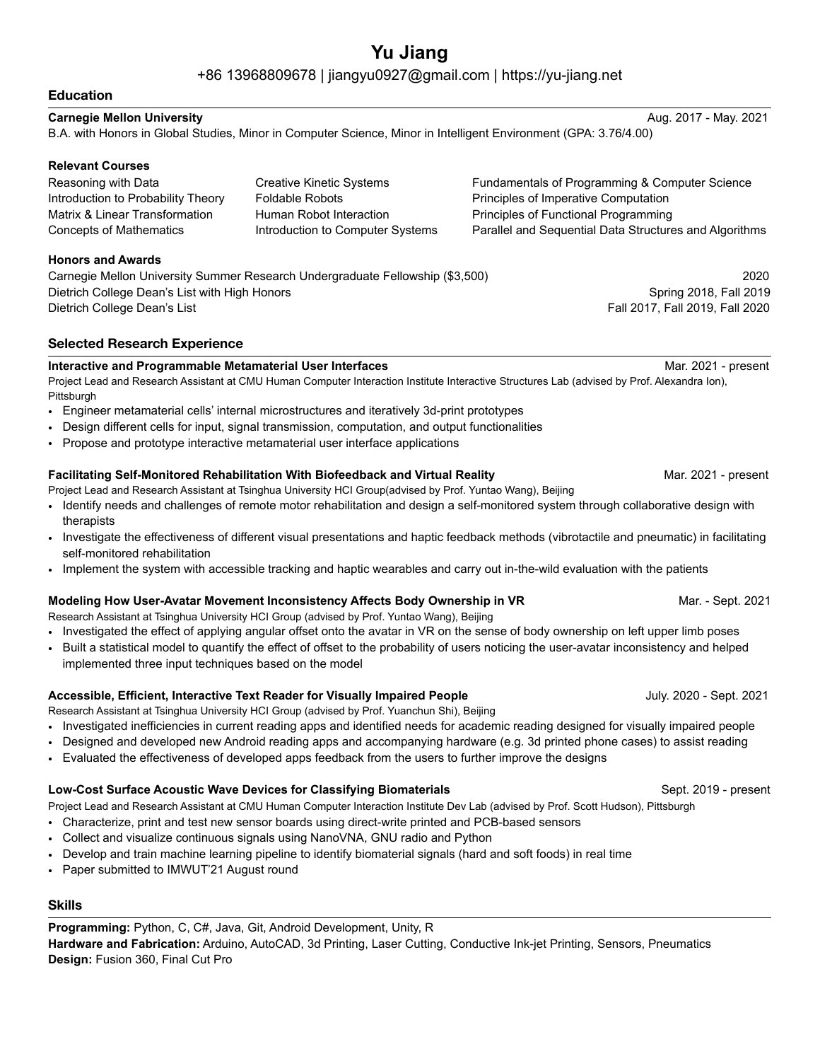# **Yu Jiang**

+86 13968809678 | [jiangyu0927@gmail.com](mailto:jiangyu0927@gmail.com) | <https://yu-jiang.net>

## **Education**

## **Carnegie Mellon University** Aug. 2017 - May. 2021

B.A. with Honors in Global Studies, Minor in Computer Science, Minor in Intelligent Environment (GPA: 3.76/4.00)

#### **Relevant Courses**  Reasoning with Data

Introduction to Probability Theory Matrix & Linear Transformation Creative Kinetic Systems Foldable Robots Human Robot Interaction Introduction to Computer Systems

Fundamentals of Programming & Computer Science Principles of Imperative Computation Principles of Functional Programming Parallel and Sequential Data Structures and Algorithms

#### **Honors and Awards**

Concepts of Mathematics

Carnegie Mellon University Summer Research Undergraduate Fellowship (\$3,500) 2020 Dietrich College Dean's List with High Honors **Spring 2018, Fall 2019** Spring 2018, Fall 2019 Dietrich College Dean's List Fall 2017, Fall 2019, Fall 2020

# **Selected Research Experience**

#### **Interactive and Programmable Metamaterial User Interfaces Mar. 2021 - present** Mar. 2021 - present

Project Lead and Research Assistant at CMU Human Computer Interaction Institute Interactive Structures Lab (advised by Prof. Alexandra Ion), Pittsburgh

- Engineer metamaterial cells' internal microstructures and iteratively 3d-print prototypes
- Design different cells for input, signal transmission, computation, and output functionalities
- Propose and prototype interactive metamaterial user interface applications

#### **Facilitating Self-Monitored Rehabilitation With Biofeedback and Virtual Reality Mareofied Mar. 2021 - present**

Project Lead and Research Assistant at Tsinghua University HCI Group(advised by Prof. Yuntao Wang), Beijing

- Identify needs and challenges of remote motor rehabilitation and design a self-monitored system through collaborative design with therapists
- Investigate the effectiveness of different visual presentations and haptic feedback methods (vibrotactile and pneumatic) in facilitating self-monitored rehabilitation
- Implement the system with accessible tracking and haptic wearables and carry out in-the-wild evaluation with the patients

## **Modeling How User-Avatar Movement Inconsistency Affects Body Ownership in VR** Marthum Mar. - Sept. 2021

Research Assistant at Tsinghua University HCI Group (advised by Prof. Yuntao Wang), Beijing

- Investigated the effect of applying angular offset onto the avatar in VR on the sense of body ownership on left upper limb poses
- Built a statistical model to quantify the effect of offset to the probability of users noticing the user-avatar inconsistency and helped implemented three input techniques based on the model

## **Accessible, Efficient, Interactive Text Reader for Visually Impaired People** July. 2020 - Sept. 2021

Research Assistant at Tsinghua University HCI Group (advised by Prof. Yuanchun Shi), Beijing

- Investigated inefficiencies in current reading apps and identified needs for academic reading designed for visually impaired people
- Designed and developed new Android reading apps and accompanying hardware (e.g. 3d printed phone cases) to assist reading
- Evaluated the effectiveness of developed apps feedback from the users to further improve the designs

## Low-Cost Surface Acoustic Wave Devices for Classifying Biomaterials **Sept. 2019 - present**

Project Lead and Research Assistant at CMU Human Computer Interaction Institute Dev Lab (advised by Prof. Scott Hudson), Pittsburgh

- Characterize, print and test new sensor boards using direct-write printed and PCB-based sensors
- Collect and visualize continuous signals using NanoVNA, GNU radio and Python
- Develop and train machine learning pipeline to identify biomaterial signals (hard and soft foods) in real time
- Paper submitted to IMWUT'21 August round

## **Skills**

**Programming:** Python, C, C#, Java, Git, Android Development, Unity, R **Hardware and Fabrication:** Arduino, AutoCAD, 3d Printing, Laser Cutting, Conductive Ink-jet Printing, Sensors, Pneumatics **Design:** Fusion 360, Final Cut Pro